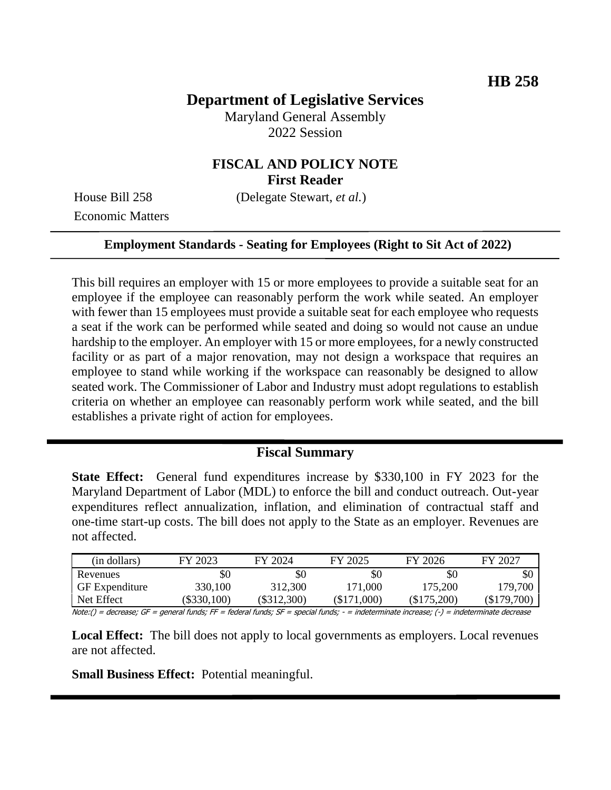# **Department of Legislative Services**

Maryland General Assembly 2022 Session

## **FISCAL AND POLICY NOTE First Reader**

Economic Matters

House Bill 258 (Delegate Stewart, *et al.*)

#### **Employment Standards - Seating for Employees (Right to Sit Act of 2022)**

This bill requires an employer with 15 or more employees to provide a suitable seat for an employee if the employee can reasonably perform the work while seated. An employer with fewer than 15 employees must provide a suitable seat for each employee who requests a seat if the work can be performed while seated and doing so would not cause an undue hardship to the employer. An employer with 15 or more employees, for a newly constructed facility or as part of a major renovation, may not design a workspace that requires an employee to stand while working if the workspace can reasonably be designed to allow seated work. The Commissioner of Labor and Industry must adopt regulations to establish criteria on whether an employee can reasonably perform work while seated, and the bill establishes a private right of action for employees.

### **Fiscal Summary**

**State Effect:** General fund expenditures increase by \$330,100 in FY 2023 for the Maryland Department of Labor (MDL) to enforce the bill and conduct outreach. Out-year expenditures reflect annualization, inflation, and elimination of contractual staff and one-time start-up costs. The bill does not apply to the State as an employer. Revenues are not affected.

| (in dollars)                                                                                                                                                                                                                                                                                                                       | FY 2023                                                                                                                                 | FY 2024     | FY 2025     | FY 2026     | FY 2027     |
|------------------------------------------------------------------------------------------------------------------------------------------------------------------------------------------------------------------------------------------------------------------------------------------------------------------------------------|-----------------------------------------------------------------------------------------------------------------------------------------|-------------|-------------|-------------|-------------|
| Revenues                                                                                                                                                                                                                                                                                                                           | \$0                                                                                                                                     | \$0         | \$0         | \$0         | \$0         |
| <b>GF</b> Expenditure                                                                                                                                                                                                                                                                                                              | 330,100                                                                                                                                 | 312,300     | .71,000     | 175,200     | 179,700     |
| Net Effect                                                                                                                                                                                                                                                                                                                         | (\$330,100)                                                                                                                             | (\$312,300) | (\$171,000) | (\$175,200) | (\$179,700) |
| $\mathbf{A}$ $\mathbf{A}$ $\mathbf{A}$ $\mathbf{A}$ $\mathbf{A}$ $\mathbf{A}$ $\mathbf{A}$ $\mathbf{A}$ $\mathbf{A}$ $\mathbf{A}$ $\mathbf{A}$ $\mathbf{A}$ $\mathbf{A}$ $\mathbf{A}$ $\mathbf{A}$ $\mathbf{A}$ $\mathbf{A}$ $\mathbf{A}$ $\mathbf{A}$ $\mathbf{A}$ $\mathbf{A}$ $\mathbf{A}$ $\mathbf{A}$ $\mathbf{A}$ $\mathbf{$ | $\mathcal{L}$ . The contract of $\mathcal{L}$ and $\mathcal{L}$ and $\mathcal{L}$ and $\mathcal{L}$ and $\mathcal{L}$ and $\mathcal{L}$ |             |             |             |             |

Note:() = decrease; GF = general funds; FF = federal funds; SF = special funds; - = indeterminate increase; (-) = indeterminate decrease

**Local Effect:** The bill does not apply to local governments as employers. Local revenues are not affected.

**Small Business Effect:** Potential meaningful.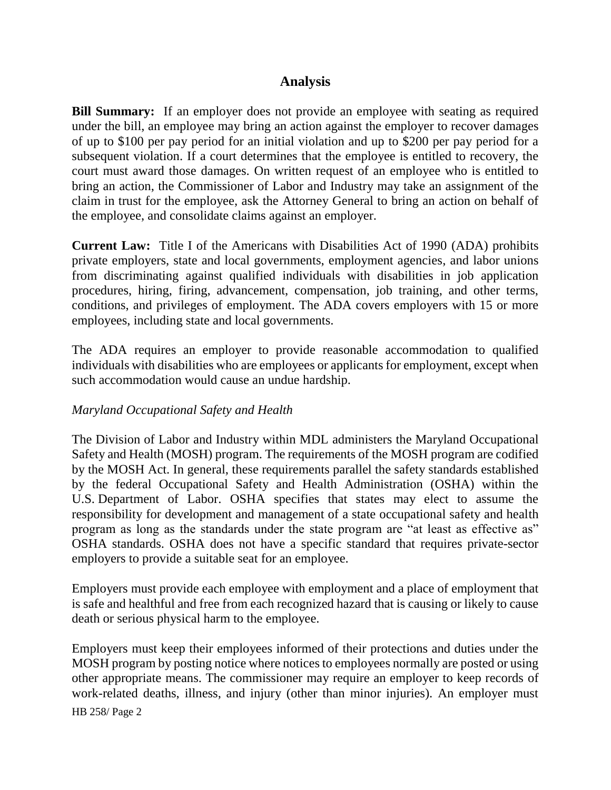## **Analysis**

**Bill Summary:** If an employer does not provide an employee with seating as required under the bill, an employee may bring an action against the employer to recover damages of up to \$100 per pay period for an initial violation and up to \$200 per pay period for a subsequent violation. If a court determines that the employee is entitled to recovery, the court must award those damages. On written request of an employee who is entitled to bring an action, the Commissioner of Labor and Industry may take an assignment of the claim in trust for the employee, ask the Attorney General to bring an action on behalf of the employee, and consolidate claims against an employer.

**Current Law:** Title I of the Americans with Disabilities Act of 1990 (ADA) prohibits private employers, state and local governments, employment agencies, and labor unions from discriminating against qualified individuals with disabilities in job application procedures, hiring, firing, advancement, compensation, job training, and other terms, conditions, and privileges of employment. The ADA covers employers with 15 or more employees, including state and local governments.

The ADA requires an employer to provide reasonable accommodation to qualified individuals with disabilities who are employees or applicants for employment, except when such accommodation would cause an undue hardship.

#### *Maryland Occupational Safety and Health*

The Division of Labor and Industry within MDL administers the Maryland Occupational Safety and Health (MOSH) program. The requirements of the MOSH program are codified by the MOSH Act. In general, these requirements parallel the safety standards established by the federal Occupational Safety and Health Administration (OSHA) within the U.S. Department of Labor. OSHA specifies that states may elect to assume the responsibility for development and management of a state occupational safety and health program as long as the standards under the state program are "at least as effective as" OSHA standards. OSHA does not have a specific standard that requires private-sector employers to provide a suitable seat for an employee.

Employers must provide each employee with employment and a place of employment that is safe and healthful and free from each recognized hazard that is causing or likely to cause death or serious physical harm to the employee.

Employers must keep their employees informed of their protections and duties under the MOSH program by posting notice where notices to employees normally are posted or using other appropriate means. The commissioner may require an employer to keep records of work-related deaths, illness, and injury (other than minor injuries). An employer must

HB 258/ Page 2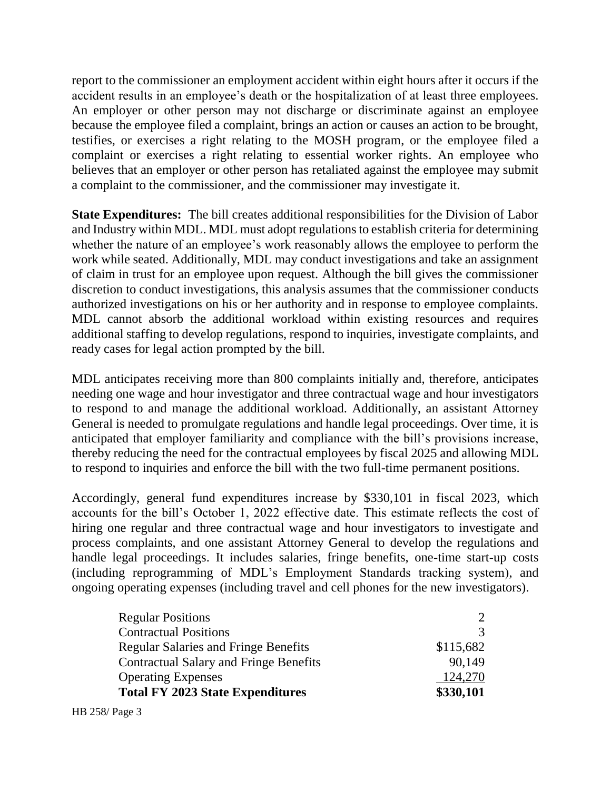report to the commissioner an employment accident within eight hours after it occurs if the accident results in an employee's death or the hospitalization of at least three employees. An employer or other person may not discharge or discriminate against an employee because the employee filed a complaint, brings an action or causes an action to be brought, testifies, or exercises a right relating to the MOSH program, or the employee filed a complaint or exercises a right relating to essential worker rights. An employee who believes that an employer or other person has retaliated against the employee may submit a complaint to the commissioner, and the commissioner may investigate it.

**State Expenditures:** The bill creates additional responsibilities for the Division of Labor and Industry within MDL. MDL must adopt regulations to establish criteria for determining whether the nature of an employee's work reasonably allows the employee to perform the work while seated. Additionally, MDL may conduct investigations and take an assignment of claim in trust for an employee upon request. Although the bill gives the commissioner discretion to conduct investigations, this analysis assumes that the commissioner conducts authorized investigations on his or her authority and in response to employee complaints. MDL cannot absorb the additional workload within existing resources and requires additional staffing to develop regulations, respond to inquiries, investigate complaints, and ready cases for legal action prompted by the bill.

MDL anticipates receiving more than 800 complaints initially and, therefore, anticipates needing one wage and hour investigator and three contractual wage and hour investigators to respond to and manage the additional workload. Additionally, an assistant Attorney General is needed to promulgate regulations and handle legal proceedings. Over time, it is anticipated that employer familiarity and compliance with the bill's provisions increase, thereby reducing the need for the contractual employees by fiscal 2025 and allowing MDL to respond to inquiries and enforce the bill with the two full-time permanent positions.

Accordingly, general fund expenditures increase by \$330,101 in fiscal 2023, which accounts for the bill's October 1, 2022 effective date. This estimate reflects the cost of hiring one regular and three contractual wage and hour investigators to investigate and process complaints, and one assistant Attorney General to develop the regulations and handle legal proceedings. It includes salaries, fringe benefits, one-time start-up costs (including reprogramming of MDL's Employment Standards tracking system), and ongoing operating expenses (including travel and cell phones for the new investigators).

| <b>Regular Positions</b>                      |           |
|-----------------------------------------------|-----------|
| <b>Contractual Positions</b>                  |           |
| <b>Regular Salaries and Fringe Benefits</b>   | \$115,682 |
| <b>Contractual Salary and Fringe Benefits</b> | 90.149    |
| <b>Operating Expenses</b>                     | 124,270   |
| <b>Total FY 2023 State Expenditures</b>       | \$330,101 |